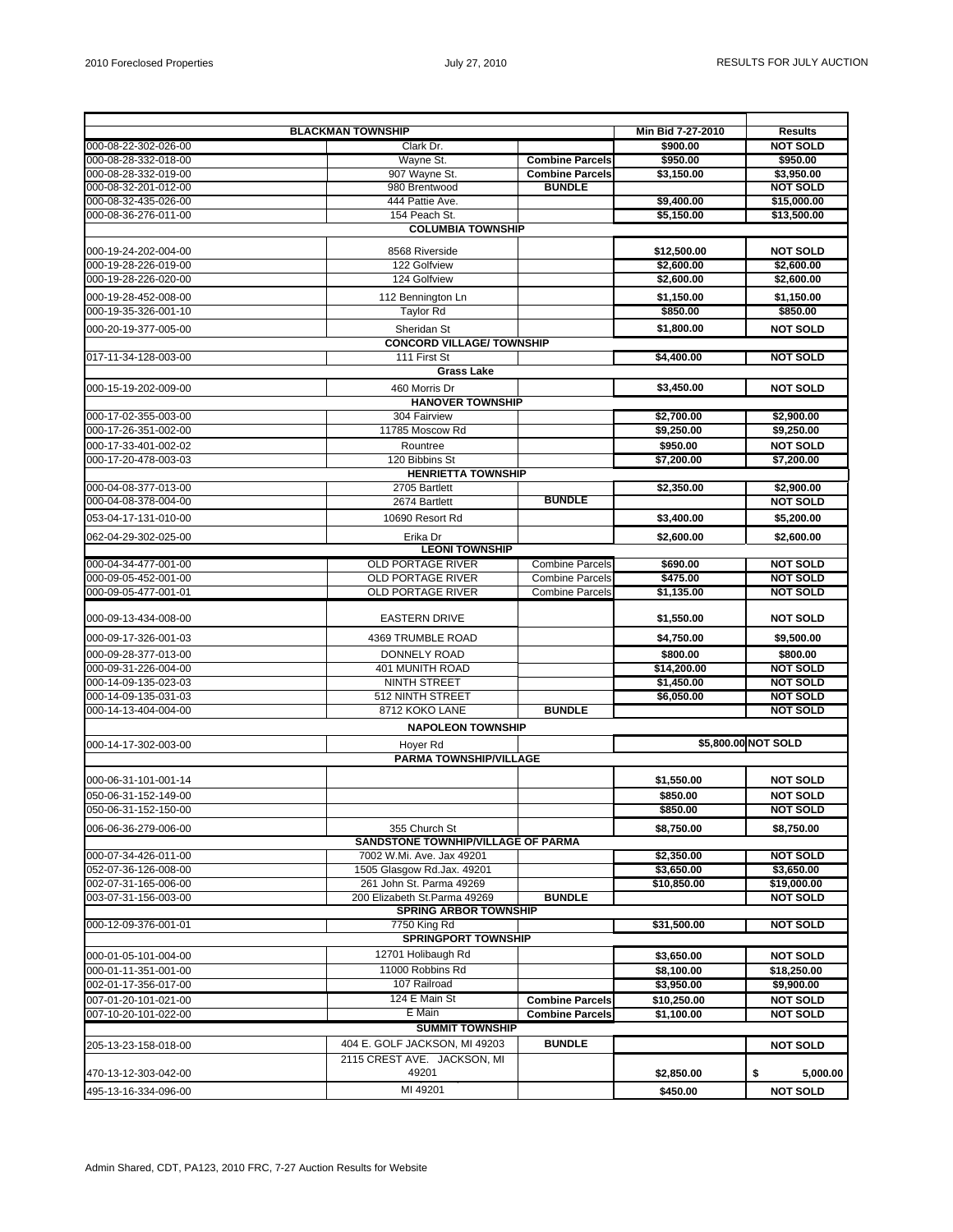| <b>BLACKMAN TOWNSHIP</b> |                                                              |                        | Min Bid 7-27-2010 | <b>Results</b>      |  |  |
|--------------------------|--------------------------------------------------------------|------------------------|-------------------|---------------------|--|--|
| 000-08-22-302-026-00     | Clark Dr.                                                    |                        | \$900.00          | <b>NOT SOLD</b>     |  |  |
| 000-08-28-332-018-00     | Wavne St.                                                    | <b>Combine Parcels</b> | \$950.00          | \$950.00            |  |  |
| 000-08-28-332-019-00     | 907 Wayne St.                                                | <b>Combine Parcels</b> | \$3,150.00        | \$3,950.00          |  |  |
| 000-08-32-201-012-00     | 980 Brentwood                                                | <b>BUNDLE</b>          |                   | <b>NOT SOLD</b>     |  |  |
| 000-08-32-435-026-00     | 444 Pattie Ave.                                              |                        | \$9,400.00        | \$15,000.00         |  |  |
| 000-08-36-276-011-00     | 154 Peach St.                                                |                        | \$5,150.00        | \$13,500.00         |  |  |
|                          | <b>COLUMBIA TOWNSHIP</b>                                     |                        |                   |                     |  |  |
| 000-19-24-202-004-00     | 8568 Riverside                                               |                        | \$12,500.00       | <b>NOT SOLD</b>     |  |  |
| 000-19-28-226-019-00     | 122 Golfview                                                 |                        | \$2,600.00        | \$2,600.00          |  |  |
| 000-19-28-226-020-00     | 124 Golfview                                                 |                        | \$2,600.00        | \$2,600.00          |  |  |
| 000-19-28-452-008-00     | 112 Bennington Ln                                            |                        | \$1,150.00        | \$1,150.00          |  |  |
| 000-19-35-326-001-10     | <b>Taylor Rd</b>                                             |                        | \$850.00          | \$850.00            |  |  |
| 000-20-19-377-005-00     | Sheridan St                                                  |                        | \$1,800.00        | <b>NOT SOLD</b>     |  |  |
|                          | <b>CONCORD VILLAGE/ TOWNSHIP</b>                             |                        |                   |                     |  |  |
| 017-11-34-128-003-00     | 111 First St                                                 |                        | \$4,400.00        | <b>NOT SOLD</b>     |  |  |
|                          | <b>Grass Lake</b>                                            |                        |                   |                     |  |  |
| 000-15-19-202-009-00     | 460 Morris Dr                                                |                        | \$3,450.00        | <b>NOT SOLD</b>     |  |  |
|                          | <b>HANOVER TOWNSHIP</b>                                      |                        |                   |                     |  |  |
| 000-17-02-355-003-00     | 304 Fairview                                                 |                        | \$2,700.00        | \$2,900.00          |  |  |
| 000-17-26-351-002-00     | 11785 Moscow Rd                                              |                        | \$9,250.00        | \$9,250.00          |  |  |
| 000-17-33-401-002-02     | Rountree                                                     |                        | \$950.00          | <b>NOT SOLD</b>     |  |  |
| 000-17-20-478-003-03     | 120 Bibbins St                                               |                        | \$7,200.00        | \$7,200.00          |  |  |
|                          | <b>HENRIETTA TOWNSHIP</b>                                    |                        |                   |                     |  |  |
| 000-04-08-377-013-00     | 2705 Bartlett                                                |                        | \$2,350.00        | \$2,900.00          |  |  |
| 000-04-08-378-004-00     | 2674 Bartlett                                                | <b>BUNDLE</b>          |                   | <b>NOT SOLD</b>     |  |  |
| 053-04-17-131-010-00     | 10690 Resort Rd                                              |                        | \$3,400.00        | \$5,200.00          |  |  |
| 062-04-29-302-025-00     | Erika Dr                                                     |                        | \$2,600.00        | \$2,600.00          |  |  |
|                          | <b>LEONI TOWNSHIP</b>                                        |                        |                   |                     |  |  |
| 000-04-34-477-001-00     | <b>OLD PORTAGE RIVER</b>                                     | <b>Combine Parcels</b> | \$690.00          | <b>NOT SOLD</b>     |  |  |
| 000-09-05-452-001-00     | <b>OLD PORTAGE RIVER</b>                                     | <b>Combine Parcels</b> | \$475.00          | <b>NOT SOLD</b>     |  |  |
| 000-09-05-477-001-01     | <b>OLD PORTAGE RIVER</b>                                     | <b>Combine Parcels</b> | \$1,135.00        | <b>NOT SOLD</b>     |  |  |
| 000-09-13-434-008-00     | <b>EASTERN DRIVE</b>                                         |                        | \$1,550.00        | <b>NOT SOLD</b>     |  |  |
| 000-09-17-326-001-03     | 4369 TRUMBLE ROAD                                            |                        | \$4,750.00        | \$9,500.00          |  |  |
| 000-09-28-377-013-00     | <b>DONNELY ROAD</b>                                          |                        | \$800.00          | \$800.00            |  |  |
| 000-09-31-226-004-00     | 401 MUNITH ROAD                                              |                        | \$14,200.00       | <b>NOT SOLD</b>     |  |  |
| 000-14-09-135-023-03     | <b>NINTH STREET</b>                                          |                        | \$1,450.00        | <b>NOT SOLD</b>     |  |  |
| 000-14-09-135-031-03     | 512 NINTH STREET                                             |                        | \$6,050.00        | <b>NOT SOLD</b>     |  |  |
| 000-14-13-404-004-00     | 8712 KOKO LANE                                               | <b>BUNDLE</b>          |                   | <b>NOT SOLD</b>     |  |  |
|                          | <b>NAPOLEON TOWNSHIP</b>                                     |                        |                   |                     |  |  |
| 000-14-17-302-003-00     | Hover Rd                                                     |                        |                   | \$5,800.00 NOT SOLD |  |  |
|                          | <b>PARMA TOWNSHIP/VILLAGE</b>                                |                        |                   |                     |  |  |
| 000-06-31-101-001-14     |                                                              |                        | \$1,550.00        | <b>NOT SOLD</b>     |  |  |
| 050-06-31-152-149-00     |                                                              |                        | \$850.00          | <b>NOT SOLD</b>     |  |  |
| 050-06-31-152-150-00     |                                                              |                        | \$850.00          | <b>NOT SOLD</b>     |  |  |
| 006-06-36-279-006-00     | 355 Church St                                                |                        | \$8,750.00        | \$8,750.00          |  |  |
|                          | SANDSTONE TOWNHIP/VILLAGE OF PARMA                           |                        |                   |                     |  |  |
| 000-07-34-426-011-00     | 7002 W.Mi. Ave. Jax 49201                                    |                        | \$2,350.00        | <b>NOT SOLD</b>     |  |  |
| 052-07-36-126-008-00     | 1505 Glasgow Rd.Jax. 49201                                   |                        | \$3,650.00        | \$3,650.00          |  |  |
| 002-07-31-165-006-00     | 261 John St. Parma 49269                                     |                        | \$10,850.00       | \$19,000.00         |  |  |
| 003-07-31-156-003-00     | 200 Elizabeth St.Parma 49269                                 | <b>BUNDLE</b>          |                   | <b>NOT SOLD</b>     |  |  |
|                          | <b>SPRING ARBOR TOWNSHIP</b>                                 |                        |                   |                     |  |  |
| 000-12-09-376-001-01     | 7750 King Rd                                                 |                        | \$31,500.00       | <b>NOT SOLD</b>     |  |  |
|                          | <b>SPRINGPORT TOWNSHIP</b>                                   |                        |                   |                     |  |  |
| 000-01-05-101-004-00     | 12701 Holibaugh Rd                                           |                        | \$3,650.00        | <b>NOT SOLD</b>     |  |  |
| 000-01-11-351-001-00     | 11000 Robbins Rd                                             |                        | \$8,100.00        | \$18,250.00         |  |  |
| 002-01-17-356-017-00     | 107 Railroad                                                 |                        | \$3,950.00        | \$9,900.00          |  |  |
| 007-01-20-101-021-00     | 124 E Main St<br>E Main                                      | <b>Combine Parcels</b> | \$10,250.00       | <b>NOT SOLD</b>     |  |  |
| 007-10-20-101-022-00     | <b>SUMMIT TOWNSHIP</b>                                       | <b>Combine Parcels</b> | \$1,100.00        | <b>NOT SOLD</b>     |  |  |
|                          |                                                              |                        |                   |                     |  |  |
| 205-13-23-158-018-00     | 404 E. GOLF JACKSON, MI 49203<br>2115 CREST AVE. JACKSON, MI | <b>BUNDLE</b>          |                   | <b>NOT SOLD</b>     |  |  |
| 470-13-12-303-042-00     | 49201                                                        |                        | \$2,850.00        | \$<br>5,000.00      |  |  |
| 495-13-16-334-096-00     | MI 49201                                                     |                        | \$450.00          | <b>NOT SOLD</b>     |  |  |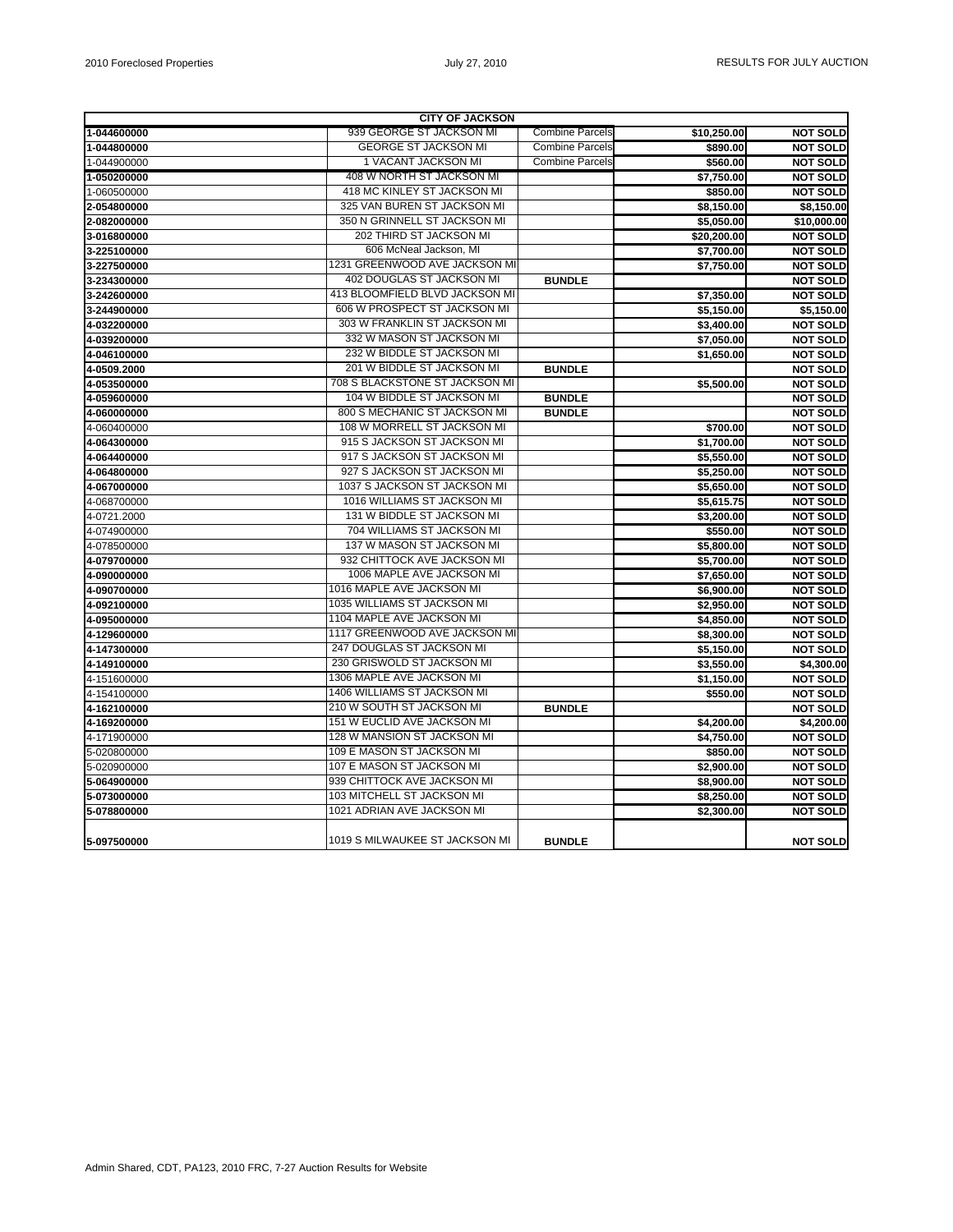| <b>CITY OF JACKSON</b> |                                    |                        |             |                    |  |  |
|------------------------|------------------------------------|------------------------|-------------|--------------------|--|--|
| 1-044600000            | 939 GEORGE ST JACKSON MI           | <b>Combine Parcels</b> | \$10,250.00 | <b>NOT SOLD</b>    |  |  |
| 1-044800000            | <b>GEORGE ST JACKSON MI</b>        | <b>Combine Parcels</b> | \$890.00    | <b>NOT SOLD</b>    |  |  |
| 1-044900000            | 1 VACANT JACKSON MI                | <b>Combine Parcels</b> | \$560.00    | <b>NOT SOLD</b>    |  |  |
| 1-050200000            | 408 W NORTH ST JACKSON MI          |                        | \$7,750.00  | <b>NOT SOLD</b>    |  |  |
| 1-060500000            | 418 MC KINLEY ST JACKSON MI        |                        | \$850.00    | <b>NOT SOLD</b>    |  |  |
| 2-054800000            | 325 VAN BUREN ST JACKSON MI        |                        | \$8,150.00  | \$8,150.00         |  |  |
| 2-082000000            | 350 N GRINNELL ST JACKSON MI       |                        | \$5,050.00  | \$10,000.00        |  |  |
| 3-016800000            | 202 THIRD ST JACKSON MI            |                        | \$20,200.00 | <b>NOT SOLD</b>    |  |  |
| 3-225100000            | 606 McNeal Jackson, MI             |                        | \$7,700.00  | <b>NOT SOLD</b>    |  |  |
| 3-227500000            | 1231 GREENWOOD AVE JACKSON MI      |                        | \$7,750.00  | <b>NOT SOLD</b>    |  |  |
| 3-234300000            | 402 DOUGLAS ST JACKSON MI          | <b>BUNDLE</b>          |             | <b>NOT SOLD</b>    |  |  |
| 3-242600000            | 413 BLOOMFIELD BLVD JACKSON MI     |                        | \$7,350.00  | <b>NOT SOLD</b>    |  |  |
| 3-244900000            | 606 W PROSPECT ST JACKSON MI       |                        | \$5,150.00  | \$5,150.00         |  |  |
| 4-032200000            | 303 W FRANKLIN ST JACKSON MI       |                        | \$3,400.00  | <b>NOT SOLD</b>    |  |  |
| 4-039200000            | 332 W MASON ST JACKSON MI          |                        | \$7,050.00  | <b>NOT SOLD</b>    |  |  |
| 4-046100000            | 232 W BIDDLE ST JACKSON MI         |                        | \$1,650.00  | <b>NOT SOLD</b>    |  |  |
| 4-0509.2000            | 201 W BIDDLE ST JACKSON MI         | <b>BUNDLE</b>          |             | <b>NOT SOLD</b>    |  |  |
| 4-053500000            | 708 S BLACKSTONE ST JACKSON MI     |                        | \$5,500.00  | <b>NOT SOLD</b>    |  |  |
| 4-059600000            | 104 W BIDDLE ST JACKSON MI         | <b>BUNDLE</b>          |             | <b>NOT SOLD</b>    |  |  |
| 4-060000000            | 800 S MECHANIC ST JACKSON MI       | <b>BUNDLE</b>          |             | <b>NOT SOLD</b>    |  |  |
| 4-060400000            | 108 W MORRELL ST JACKSON MI        |                        | \$700.00    | <b>NOT SOLD</b>    |  |  |
| 4-064300000            | 915 S JACKSON ST JACKSON MI        |                        | \$1,700.00  | <b>NOT SOLD</b>    |  |  |
| 4-064400000            | 917 S JACKSON ST JACKSON MI        |                        | \$5,550.00  | <b>NOT SOLD</b>    |  |  |
| 4-064800000            | 927 S JACKSON ST JACKSON MI        |                        | \$5,250.00  | <b>NOT SOLD</b>    |  |  |
| 4-067000000            | 1037 S JACKSON ST JACKSON MI       |                        | \$5.650.00  | <b>NOT SOLD</b>    |  |  |
| 4-068700000            | 1016 WILLIAMS ST JACKSON MI        |                        | \$5,615.75  | <b>NOT SOLD</b>    |  |  |
| 4-0721.2000            | 131 W BIDDLE ST JACKSON MI         |                        | \$3,200.00  | <b>NOT SOLD</b>    |  |  |
| 4-074900000            | 704 WILLIAMS ST JACKSON MI         |                        | \$550.00    | <b>NOT SOLD</b>    |  |  |
| 4-078500000            | 137 W MASON ST JACKSON MI          |                        | \$5,800.00  | <b>NOT SOLD</b>    |  |  |
| 4-079700000            | 932 CHITTOCK AVE JACKSON MI        |                        | \$5,700.00  | <b>NOT SOLD</b>    |  |  |
| 4-090000000            | 1006 MAPLE AVE JACKSON MI          |                        | \$7,650.00  | <b>NOT SOLD</b>    |  |  |
| 4-090700000            | 1016 MAPLE AVE JACKSON MI          |                        | \$6,900.00  | <b>NOT SOLD</b>    |  |  |
| 4-092100000            | 1035 WILLIAMS ST JACKSON MI        |                        | \$2,950.00  | <b>NOT SOLD</b>    |  |  |
| 4-095000000            | 1104 MAPLE AVE JACKSON MI          |                        | \$4,850.00  | <b>NOT SOLD</b>    |  |  |
| 4-129600000            | 1117 GREENWOOD AVE JACKSON MI      |                        | \$8,300.00  | <b>NOT SOLD</b>    |  |  |
| 4-147300000            | 247 DOUGLAS ST JACKSON MI          |                        | \$5,150.00  | <b>NOT SOLD</b>    |  |  |
| 4-149100000            | 230 GRISWOLD ST JACKSON MI         |                        | \$3,550.00  | $\sqrt{54,300.00}$ |  |  |
| 4-151600000            | 1306 MAPLE AVE JACKSON MI          |                        | \$1,150.00  | <b>NOT SOLD</b>    |  |  |
| 4-154100000            | 1406 WILLIAMS ST JACKSON MI        |                        | \$550.00    | <b>NOT SOLD</b>    |  |  |
| 4-162100000            | 210 W SOUTH ST JACKSON MI          | <b>BUNDLE</b>          |             | <b>NOT SOLD</b>    |  |  |
| 4-169200000            | <b>151 W EUCLID AVE JACKSON MI</b> |                        | \$4,200.00  | \$4,200.00         |  |  |
| 4-171900000            | 128 W MANSION ST JACKSON MI        |                        | \$4,750.00  | <b>NOT SOLD</b>    |  |  |
| 5-020800000            | 109 E MASON ST JACKSON MI          |                        | \$850.00    | <b>NOT SOLD</b>    |  |  |
| 5-020900000            | 107 E MASON ST JACKSON MI          |                        | \$2,900.00  | <b>NOT SOLD</b>    |  |  |
| 5-064900000            | 939 CHITTOCK AVE JACKSON MI        |                        | \$8,900.00  | <b>NOT SOLD</b>    |  |  |
| 5-073000000            | 103 MITCHELL ST JACKSON MI         |                        | \$8,250.00  | <b>NOT SOLD</b>    |  |  |
| 5-078800000            | 1021 ADRIAN AVE JACKSON MI         |                        | \$2,300.00  | <b>NOT SOLD</b>    |  |  |
| 5-097500000            | 1019 S MILWAUKEE ST JACKSON MI     | <b>BUNDLE</b>          |             | <b>NOT SOLD</b>    |  |  |